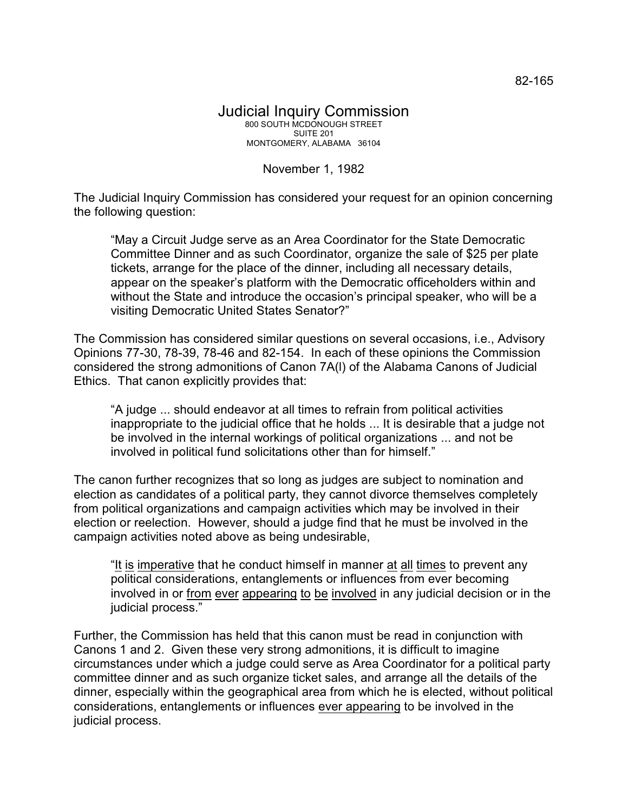## November 1, 1982

The Judicial Inquiry Commission has considered your request for an opinion concerning the following question:

"May a Circuit Judge serve as an Area Coordinator for the State Democratic Committee Dinner and as such Coordinator, organize the sale of \$25 per plate tickets, arrange for the place of the dinner, including all necessary details, appear on the speaker's platform with the Democratic officeholders within and without the State and introduce the occasion's principal speaker, who will be a visiting Democratic United States Senator?"

The Commission has considered similar questions on several occasions, i.e., Advisory Opinions 77-30, 78-39, 78-46 and 82-154. In each of these opinions the Commission considered the strong admonitions of Canon 7A(l) of the Alabama Canons of Judicial Ethics. That canon explicitly provides that:

"A judge ... should endeavor at all times to refrain from political activities inappropriate to the judicial office that he holds ... It is desirable that a judge not be involved in the internal workings of political organizations ... and not be involved in political fund solicitations other than for himself."

The canon further recognizes that so long as judges are subject to nomination and election as candidates of a political party, they cannot divorce themselves completely from political organizations and campaign activities which may be involved in their election or reelection. However, should a judge find that he must be involved in the campaign activities noted above as being undesirable,

"It is imperative that he conduct himself in manner at all times to prevent any political considerations, entanglements or influences from ever becoming involved in or from ever appearing to be involved in any judicial decision or in the judicial process."

Further, the Commission has held that this canon must be read in conjunction with Canons 1 and 2. Given these very strong admonitions, it is difficult to imagine circumstances under which a judge could serve as Area Coordinator for a political party committee dinner and as such organize ticket sales, and arrange all the details of the dinner, especially within the geographical area from which he is elected, without political considerations, entanglements or influences ever appearing to be involved in the judicial process.